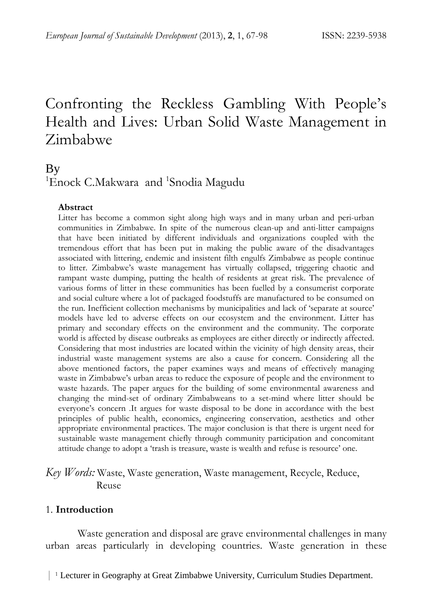# Confronting the Reckless Gambling With People's Health and Lives: Urban Solid Waste Management in Zimbabwe

# By

<sup>1</sup>Enock C.Makwara and <sup>1</sup>Snodia Magudu

#### **Abstract**

Litter has become a common sight along high ways and in many urban and peri-urban communities in Zimbabwe. In spite of the numerous clean-up and anti-litter campaigns that have been initiated by different individuals and organizations coupled with the tremendous effort that has been put in making the public aware of the disadvantages associated with littering, endemic and insistent filth engulfs Zimbabwe as people continue to litter. Zimbabwe's waste management has virtually collapsed, triggering chaotic and rampant waste dumping, putting the health of residents at great risk. The prevalence of various forms of litter in these communities has been fuelled by a consumerist corporate and social culture where a lot of packaged foodstuffs are manufactured to be consumed on the run. Inefficient collection mechanisms by municipalities and lack of 'separate at source' models have led to adverse effects on our ecosystem and the environment. Litter has primary and secondary effects on the environment and the community. The corporate world is affected by disease outbreaks as employees are either directly or indirectly affected. Considering that most industries are located within the vicinity of high density areas, their industrial waste management systems are also a cause for concern. Considering all the above mentioned factors, the paper examines ways and means of effectively managing waste in Zimbabwe's urban areas to reduce the exposure of people and the environment to waste hazards. The paper argues for the building of some environmental awareness and changing the mind-set of ordinary Zimbabweans to a set-mind where litter should be everyone's concern .It argues for waste disposal to be done in accordance with the best principles of public health, economics, engineering conservation, aesthetics and other appropriate environmental practices. The major conclusion is that there is urgent need for sustainable waste management chiefly through community participation and concomitant attitude change to adopt a 'trash is treasure, waste is wealth and refuse is resource' one.

# *Key Words:* Waste, Waste generation, Waste management, Recycle, Reduce, Reuse

#### 1. **Introduction**

Waste generation and disposal are grave environmental challenges in many urban areas particularly in developing countries. Waste generation in these

| <sup>1</sup> Lecturer in Geography at Great Zimbabwe University, Curriculum Studies Department.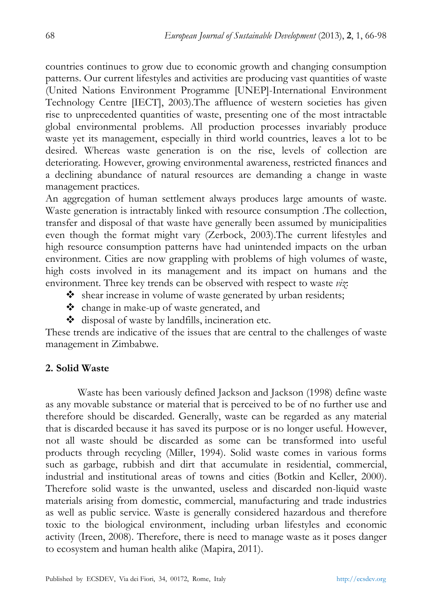countries continues to grow due to economic growth and changing consumption patterns. Our current lifestyles and activities are producing vast quantities of waste (United Nations Environment Programme [UNEP]-International Environment Technology Centre [IECT], 2003).The affluence of western societies has given rise to unprecedented quantities of waste, presenting one of the most intractable global environmental problems. All production processes invariably produce waste yet its management, especially in third world countries, leaves a lot to be desired. Whereas waste generation is on the rise, levels of collection are deteriorating. However, growing environmental awareness, restricted finances and a declining abundance of natural resources are demanding a change in waste management practices.

An aggregation of human settlement always produces large amounts of waste. Waste generation is intractably linked with resource consumption .The collection, transfer and disposal of that waste have generally been assumed by municipalities even though the format might vary (Zerbock, 2003).The current lifestyles and high resource consumption patterns have had unintended impacts on the urban environment. Cities are now grappling with problems of high volumes of waste, high costs involved in its management and its impact on humans and the environment. Three key trends can be observed with respect to waste *viz*:

- shear increase in volume of waste generated by urban residents;
- change in make-up of waste generated, and
- $\triangleleft$  disposal of waste by landfills, incineration etc.

These trends are indicative of the issues that are central to the challenges of waste management in Zimbabwe.

#### **2. Solid Waste**

Waste has been variously defined Jackson and Jackson (1998) define waste as any movable substance or material that is perceived to be of no further use and therefore should be discarded. Generally, waste can be regarded as any material that is discarded because it has saved its purpose or is no longer useful. However, not all waste should be discarded as some can be transformed into useful products through recycling (Miller, 1994). Solid waste comes in various forms such as garbage, rubbish and dirt that accumulate in residential, commercial, industrial and institutional areas of towns and cities (Botkin and Keller, 2000). Therefore solid waste is the unwanted, useless and discarded non-liquid waste materials arising from domestic, commercial, manufacturing and trade industries as well as public service. Waste is generally considered hazardous and therefore toxic to the biological environment, including urban lifestyles and economic activity (Ireen, 2008). Therefore, there is need to manage waste as it poses danger to ecosystem and human health alike (Mapira, 2011).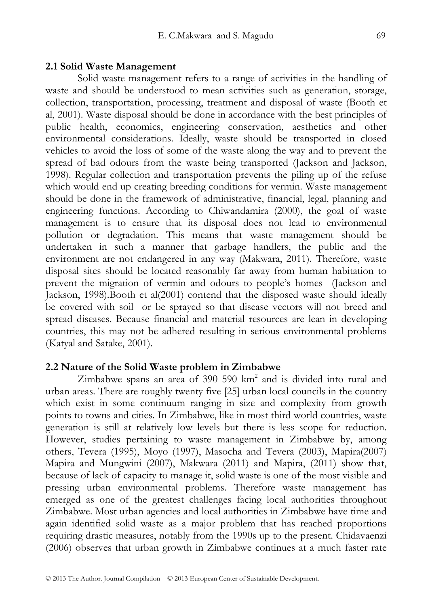#### **2.1 Solid Waste Management**

Solid waste management refers to a range of activities in the handling of waste and should be understood to mean activities such as generation, storage, collection, transportation, processing, treatment and disposal of waste (Booth et al, 2001). Waste disposal should be done in accordance with the best principles of public health, economics, engineering conservation, aesthetics and other environmental considerations. Ideally, waste should be transported in closed vehicles to avoid the loss of some of the waste along the way and to prevent the spread of bad odours from the waste being transported (Jackson and Jackson, 1998). Regular collection and transportation prevents the piling up of the refuse which would end up creating breeding conditions for vermin. Waste management should be done in the framework of administrative, financial, legal, planning and engineering functions. According to Chiwandamira (2000), the goal of waste management is to ensure that its disposal does not lead to environmental pollution or degradation. This means that waste management should be undertaken in such a manner that garbage handlers, the public and the environment are not endangered in any way (Makwara, 2011). Therefore, waste disposal sites should be located reasonably far away from human habitation to prevent the migration of vermin and odours to people's homes (Jackson and Jackson, 1998).Booth et al(2001) contend that the disposed waste should ideally be covered with soil or be sprayed so that disease vectors will not breed and spread diseases. Because financial and material resources are lean in developing countries, this may not be adhered resulting in serious environmental problems (Katyal and Satake, 2001).

#### **2.2 Nature of the Solid Waste problem in Zimbabwe**

Zimbabwe spans an area of 390 590 km<sup>2</sup> and is divided into rural and urban areas. There are roughly twenty five [25] urban local councils in the country which exist in some continuum ranging in size and complexity from growth points to towns and cities. In Zimbabwe, like in most third world countries, waste generation is still at relatively low levels but there is less scope for reduction. However, studies pertaining to waste management in Zimbabwe by, among others, Tevera (1995), Moyo (1997), Masocha and Tevera (2003), Mapira(2007) Mapira and Mungwini (2007), Makwara (2011) and Mapira, (2011) show that, because of lack of capacity to manage it, solid waste is one of the most visible and pressing urban environmental problems. Therefore waste management has emerged as one of the greatest challenges facing local authorities throughout Zimbabwe. Most urban agencies and local authorities in Zimbabwe have time and again identified solid waste as a major problem that has reached proportions requiring drastic measures, notably from the 1990s up to the present. Chidavaenzi (2006) observes that urban growth in Zimbabwe continues at a much faster rate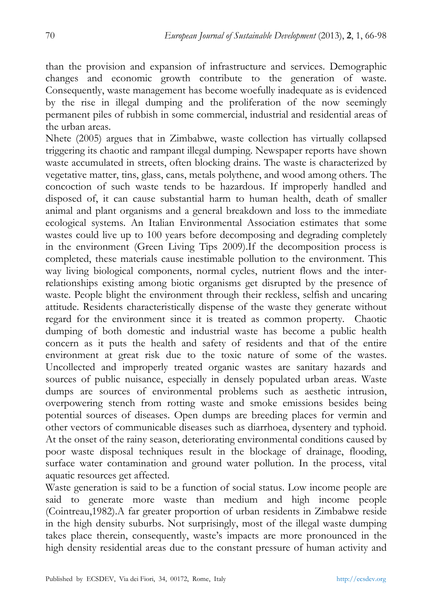than the provision and expansion of infrastructure and services. Demographic changes and economic growth contribute to the generation of waste. Consequently, waste management has become woefully inadequate as is evidenced by the rise in illegal dumping and the proliferation of the now seemingly permanent piles of rubbish in some commercial, industrial and residential areas of the urban areas.

Nhete (2005) argues that in Zimbabwe, waste collection has virtually collapsed triggering its chaotic and rampant illegal dumping. Newspaper reports have shown waste accumulated in streets, often blocking drains. The waste is characterized by vegetative matter, tins, glass, cans, metals polythene, and wood among others. The concoction of such waste tends to be hazardous. If improperly handled and disposed of, it can cause substantial harm to human health, death of smaller animal and plant organisms and a general breakdown and loss to the immediate ecological systems. An Italian Environmental Association estimates that some wastes could live up to 100 years before decomposing and degrading completely in the environment (Green Living Tips 2009).If the decomposition process is completed, these materials cause inestimable pollution to the environment. This way living biological components, normal cycles, nutrient flows and the interrelationships existing among biotic organisms get disrupted by the presence of waste. People blight the environment through their reckless, selfish and uncaring attitude. Residents characteristically dispense of the waste they generate without regard for the environment since it is treated as common property. Chaotic dumping of both domestic and industrial waste has become a public health concern as it puts the health and safety of residents and that of the entire environment at great risk due to the toxic nature of some of the wastes. Uncollected and improperly treated organic wastes are sanitary hazards and sources of public nuisance, especially in densely populated urban areas. Waste dumps are sources of environmental problems such as aesthetic intrusion, overpowering stench from rotting waste and smoke emissions besides being potential sources of diseases. Open dumps are breeding places for vermin and other vectors of communicable diseases such as diarrhoea, dysentery and typhoid. At the onset of the rainy season, deteriorating environmental conditions caused by poor waste disposal techniques result in the blockage of drainage, flooding, surface water contamination and ground water pollution. In the process, vital aquatic resources get affected.

Waste generation is said to be a function of social status. Low income people are said to generate more waste than medium and high income people (Cointreau,1982).A far greater proportion of urban residents in Zimbabwe reside in the high density suburbs. Not surprisingly, most of the illegal waste dumping takes place therein, consequently, waste's impacts are more pronounced in the high density residential areas due to the constant pressure of human activity and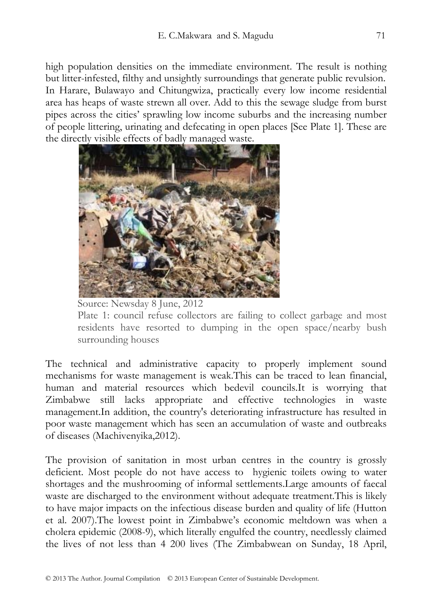high population densities on the immediate environment. The result is nothing but litter-infested, filthy and unsightly surroundings that generate public revulsion. In Harare, Bulawayo and Chitungwiza, practically every low income residential area has heaps of waste strewn all over. Add to this the sewage sludge from burst pipes across the cities' sprawling low income suburbs and the increasing number of people littering, urinating and defecating in open places [See Plate 1]. These are the directly visible effects of badly managed waste.



Source: Newsday 8 June, 2012

Plate 1: council refuse collectors are failing to collect garbage and most residents have resorted to dumping in the open space/nearby bush surrounding houses

The technical and administrative capacity to properly implement sound mechanisms for waste management is weak.This can be traced to lean financial, human and material resources which bedevil councils.It is worrying that Zimbabwe still lacks appropriate and effective technologies in waste management.In addition, the country's deteriorating infrastructure has resulted in poor waste management which has seen an accumulation of waste and outbreaks of diseases (Machivenyika,2012).

The provision of sanitation in most urban centres in the country is grossly deficient. Most people do not have access to hygienic toilets owing to water shortages and the mushrooming of informal settlements.Large amounts of faecal waste are discharged to the environment without adequate treatment.This is likely to have major impacts on the infectious disease burden and quality of life (Hutton et al. 2007).The lowest point in Zimbabwe's economic meltdown was when a cholera epidemic (2008-9), which literally engulfed the country, needlessly claimed the lives of not less than 4 200 lives (The Zimbabwean on Sunday, 18 April,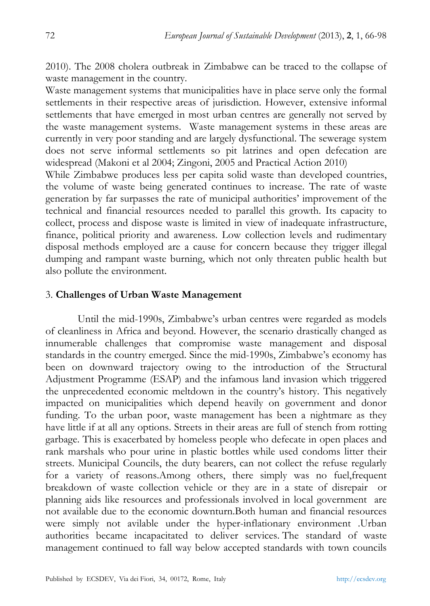2010). The 2008 cholera outbreak in Zimbabwe can be traced to the collapse of waste management in the country.

Waste management systems that municipalities have in place serve only the formal settlements in their respective areas of jurisdiction. However, extensive informal settlements that have emerged in most urban centres are generally not served by the waste management systems. Waste management systems in these areas are currently in very poor standing and are largely dysfunctional. The sewerage system does not serve informal settlements so pit latrines and open defecation are widespread (Makoni et al 2004; Zingoni, 2005 and Practical Action 2010)

While Zimbabwe produces less per capita solid waste than developed countries, the volume of waste being generated continues to increase. The rate of waste generation by far surpasses the rate of municipal authorities' improvement of the technical and financial resources needed to parallel this growth. Its capacity to collect, process and dispose waste is limited in view of inadequate infrastructure, finance, political priority and awareness. Low collection levels and rudimentary disposal methods employed are a cause for concern because they trigger illegal dumping and rampant waste burning, which not only threaten public health but also pollute the environment.

#### 3. **Challenges of Urban Waste Management**

Until the mid-1990s, Zimbabwe's urban centres were regarded as models of cleanliness in Africa and beyond. However, the scenario drastically changed as innumerable challenges that compromise waste management and disposal standards in the country emerged. Since the mid-1990s, Zimbabwe's economy has been on downward trajectory owing to the introduction of the Structural Adjustment Programme (ESAP) and the infamous land invasion which triggered the unprecedented economic meltdown in the country's history. This negatively impacted on municipalities which depend heavily on government and donor funding. To the urban poor, waste management has been a nightmare as they have little if at all any options. Streets in their areas are full of stench from rotting garbage. This is exacerbated by homeless people who defecate in open places and rank marshals who pour urine in plastic bottles while used condoms litter their streets. Municipal Councils, the duty bearers, can not collect the refuse regularly for a variety of reasons.Among others, there simply was no fuel,frequent breakdown of waste collection vehicle or they are in a state of disrepair or planning aids like resources and professionals involved in local government are not available due to the economic downturn.Both human and financial resources were simply not avilable under the hyper-inflationary environment .Urban authorities became incapacitated to deliver services. The standard of waste management continued to fall way below accepted standards with town councils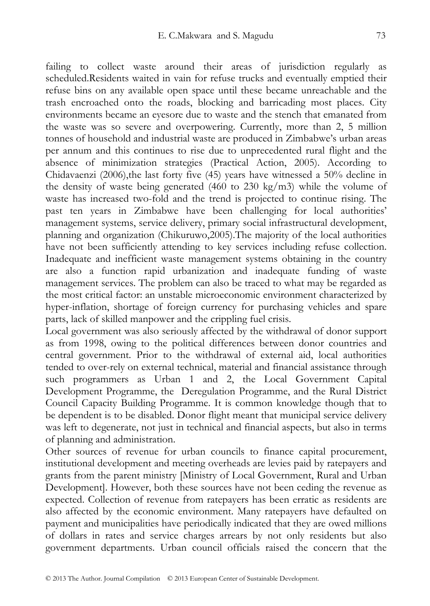failing to collect waste around their areas of jurisdiction regularly as scheduled.Residents waited in vain for refuse trucks and eventually emptied their refuse bins on any available open space until these became unreachable and the trash encroached onto the roads, blocking and barricading most places. City environments became an eyesore due to waste and the stench that emanated from the waste was so severe and overpowering. Currently, more than 2, 5 million tonnes of household and industrial waste are produced in Zimbabwe's urban areas per annum and this continues to rise due to unprecedented rural flight and the absence of minimization strategies (Practical Action, 2005). According to Chidavaenzi (2006),the last forty five (45) years have witnessed a 50% decline in the density of waste being generated (460 to 230 kg/m3) while the volume of waste has increased two-fold and the trend is projected to continue rising. The past ten years in Zimbabwe have been challenging for local authorities' management systems, service delivery, primary social infrastructural development, planning and organization (Chikuruwo,2005).The majority of the local authorities have not been sufficiently attending to key services including refuse collection. Inadequate and inefficient waste management systems obtaining in the country are also a function rapid urbanization and inadequate funding of waste management services. The problem can also be traced to what may be regarded as the most critical factor: an unstable microeconomic environment characterized by hyper-inflation, shortage of foreign currency for purchasing vehicles and spare parts, lack of skilled manpower and the crippling fuel crisis.

Local government was also seriously affected by the withdrawal of donor support as from 1998, owing to the political differences between donor countries and central government. Prior to the withdrawal of external aid, local authorities tended to over-rely on external technical, material and financial assistance through such programmers as Urban 1 and 2, the Local Government Capital Development Programme, the Deregulation Programme, and the Rural District Council Capacity Building Programme. It is common knowledge though that to be dependent is to be disabled. Donor flight meant that municipal service delivery was left to degenerate, not just in technical and financial aspects, but also in terms of planning and administration.

Other sources of revenue for urban councils to finance capital procurement, institutional development and meeting overheads are levies paid by ratepayers and grants from the parent ministry [Ministry of Local Government, Rural and Urban Development]. However, both these sources have not been ceding the revenue as expected. Collection of revenue from ratepayers has been erratic as residents are also affected by the economic environment. Many ratepayers have defaulted on payment and municipalities have periodically indicated that they are owed millions of dollars in rates and service charges arrears by not only residents but also government departments. Urban council officials raised the concern that the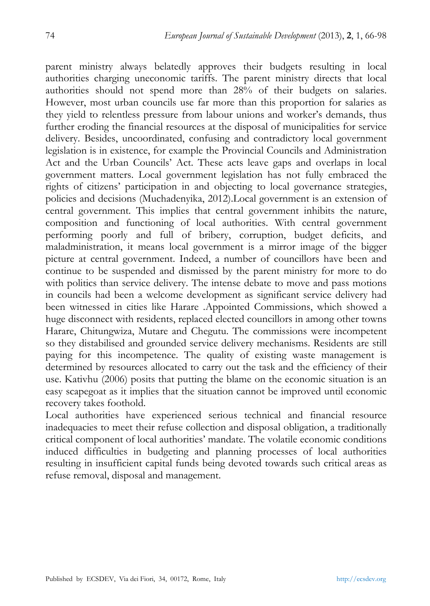parent ministry always belatedly approves their budgets resulting in local authorities charging uneconomic tariffs. The parent ministry directs that local authorities should not spend more than 28% of their budgets on salaries. However, most urban councils use far more than this proportion for salaries as they yield to relentless pressure from labour unions and worker's demands, thus further eroding the financial resources at the disposal of municipalities for service delivery. Besides, uncoordinated, confusing and contradictory local government legislation is in existence, for example the Provincial Councils and Administration Act and the Urban Councils' Act. These acts leave gaps and overlaps in local government matters. Local government legislation has not fully embraced the rights of citizens' participation in and objecting to local governance strategies, policies and decisions (Muchadenyika, 2012).Local government is an extension of central government. This implies that central government inhibits the nature, composition and functioning of local authorities. With central government performing poorly and full of bribery, corruption, budget deficits, and maladministration, it means local government is a mirror image of the bigger picture at central government. Indeed, a number of councillors have been and continue to be suspended and dismissed by the parent ministry for more to do with politics than service delivery. The intense debate to move and pass motions in councils had been a welcome development as significant service delivery had been witnessed in cities like Harare .Appointed Commissions, which showed a huge disconnect with residents, replaced elected councillors in among other towns Harare, Chitungwiza, Mutare and Chegutu. The commissions were incompetent so they distabilised and grounded service delivery mechanisms. Residents are still paying for this incompetence. The quality of existing waste management is determined by resources allocated to carry out the task and the efficiency of their use. Kativhu (2006) posits that putting the blame on the economic situation is an easy scapegoat as it implies that the situation cannot be improved until economic recovery takes foothold.

Local authorities have experienced serious technical and financial resource inadequacies to meet their refuse collection and disposal obligation, a traditionally critical component of local authorities' mandate. The volatile economic conditions induced difficulties in budgeting and planning processes of local authorities resulting in insufficient capital funds being devoted towards such critical areas as refuse removal, disposal and management.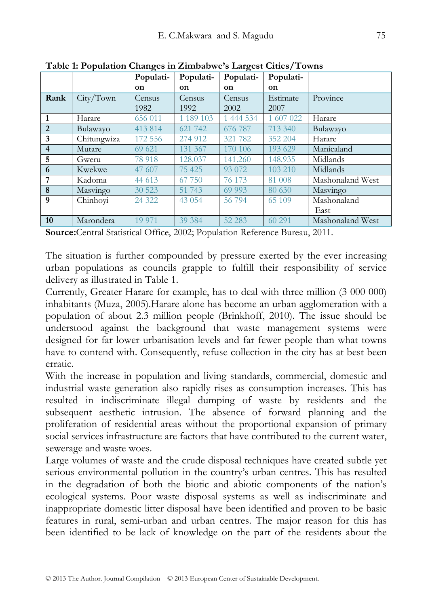| when I reparation changes in Emilous we's Early cot Chicop Fowns |             |           |               |           |           |                  |  |
|------------------------------------------------------------------|-------------|-----------|---------------|-----------|-----------|------------------|--|
|                                                                  |             | Populati- | Populati-     | Populati- | Populati- |                  |  |
|                                                                  |             | <b>on</b> | <sub>on</sub> | on        | on        |                  |  |
| Rank                                                             | City/Town   | Census    | Census        | Census    | Estimate  | Province         |  |
|                                                                  |             | 1982      | 1992          | 2002      | 2007      |                  |  |
| 1                                                                | Harare      | 656 011   | 1 189 103     | 1 444 534 | 1 607 022 | Harare           |  |
| 2                                                                | Bulawayo    | 413 814   | 621 742       | 676 787   | 713 340   | Bulawayo         |  |
| 3                                                                | Chitungwiza | 172 556   | 274 912       | 321 782   | 352 204   | Harare           |  |
| $\overline{4}$                                                   | Mutare      | 69 621    | 131 367       | 170 106   | 193 629   | Manicaland       |  |
| 5                                                                | Gweru       | 78 918    | 128.037       | 141.260   | 148.935   | Midlands         |  |
| 6                                                                | Kwekwe      | 47 607    | 75 425        | 93 072    | 103 210   | Midlands         |  |
| 7                                                                | Kadoma      | 44 613    | 67 750        | 76 173    | 81 008    | Mashonaland West |  |
| 8                                                                | Masvingo    | 30 523    | 51 743        | 69 993    | 80 630    | Masvingo         |  |
| 9                                                                | Chinhoyi    | 24 3 22   | 43 0 54       | 56 794    | 65 109    | Mashonaland      |  |
|                                                                  |             |           |               |           |           | East             |  |
| 10                                                               | Marondera   | 19 9 71   | 39 384        | 52 283    | 60 291    | Mashonaland West |  |

**Table 1: Population Changes in Zimbabwe's Largest Cities/Towns**

**Source:**Central Statistical Office, 2002; Population Reference Bureau, 2011.

The situation is further compounded by pressure exerted by the ever increasing urban populations as councils grapple to fulfill their responsibility of service delivery as illustrated in Table 1.

Currently, Greater Harare for example, has to deal with three million (3 000 000) inhabitants (Muza, 2005).Harare alone has become an urban agglomeration with a population of about 2.3 million people (Brinkhoff, 2010). The issue should be understood against the background that waste management systems were designed for far lower urbanisation levels and far fewer people than what towns have to contend with. Consequently, refuse collection in the city has at best been erratic.

With the increase in population and living standards, commercial, domestic and industrial waste generation also rapidly rises as consumption increases. This has resulted in indiscriminate illegal dumping of waste by residents and the subsequent aesthetic intrusion. The absence of forward planning and the proliferation of residential areas without the proportional expansion of primary social services infrastructure are factors that have contributed to the current water, sewerage and waste woes.

Large volumes of waste and the crude disposal techniques have created subtle yet serious environmental pollution in the country's urban centres. This has resulted in the degradation of both the biotic and abiotic components of the nation's ecological systems. Poor waste disposal systems as well as indiscriminate and inappropriate domestic litter disposal have been identified and proven to be basic features in rural, semi-urban and urban centres. The major reason for this has been identified to be lack of knowledge on the part of the residents about the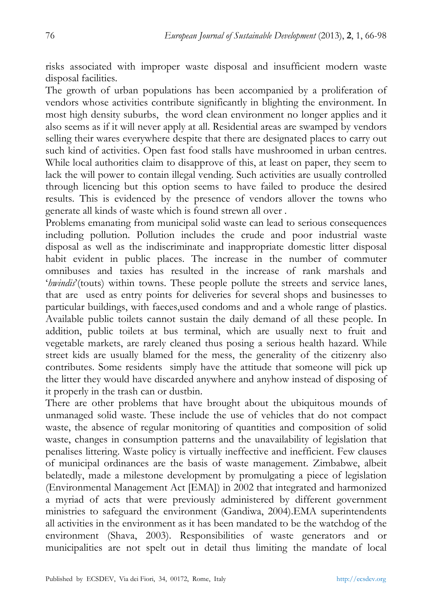risks associated with improper waste disposal and insufficient modern waste disposal facilities.

The growth of urban populations has been accompanied by a proliferation of vendors whose activities contribute significantly in blighting the environment. In most high density suburbs, the word clean environment no longer applies and it also seems as if it will never apply at all. Residential areas are swamped by vendors selling their wares everywhere despite that there are designated places to carry out such kind of activities. Open fast food stalls have mushroomed in urban centres. While local authorities claim to disapprove of this, at least on paper, they seem to lack the will power to contain illegal vending. Such activities are usually controlled through licencing but this option seems to have failed to produce the desired results. This is evidenced by the presence of vendors allover the towns who generate all kinds of waste which is found strewn all over .

Problems emanating from municipal solid waste can lead to serious consequences including pollution. Pollution includes the crude and poor industrial waste disposal as well as the indiscriminate and inappropriate domestic litter disposal habit evident in public places. The increase in the number of commuter omnibuses and taxies has resulted in the increase of rank marshals and '*hwindis*'(touts) within towns. These people pollute the streets and service lanes, that are used as entry points for deliveries for several shops and businesses to particular buildings, with faeces,used condoms and and a whole range of plastics. Available public toilets cannot sustain the daily demand of all these people. In addition, public toilets at bus terminal, which are usually next to fruit and vegetable markets, are rarely cleaned thus posing a serious health hazard. While street kids are usually blamed for the mess, the generality of the citizenry also contributes. Some residents simply have the attitude that someone will pick up the litter they would have discarded anywhere and anyhow instead of disposing of it properly in the trash can or dustbin.

There are other problems that have brought about the ubiquitous mounds of unmanaged solid waste. These include the use of vehicles that do not compact waste, the absence of regular monitoring of quantities and composition of solid waste, changes in consumption patterns and the unavailability of legislation that penalises littering. Waste policy is virtually ineffective and inefficient. Few clauses of municipal ordinances are the basis of waste management. Zimbabwe, albeit belatedly, made a milestone development by promulgating a piece of legislation (Environmental Management Act [EMA]) in 2002 that integrated and harmonized a myriad of acts that were previously administered by different government ministries to safeguard the environment (Gandiwa, 2004).EMA superintendents all activities in the environment as it has been mandated to be the watchdog of the environment (Shava, 2003). Responsibilities of waste generators and or municipalities are not spelt out in detail thus limiting the mandate of local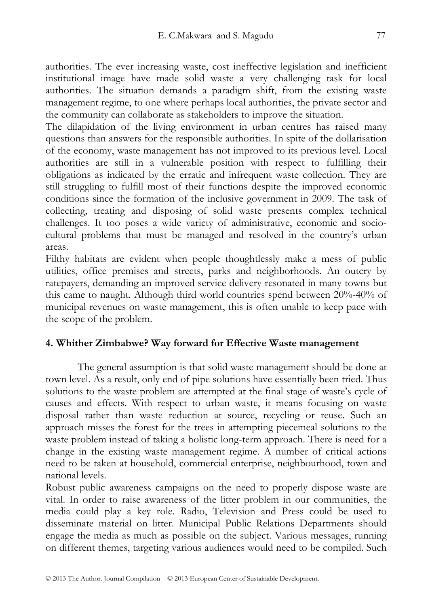authorities. The ever increasing waste, cost ineffective legislation and inefficient institutional image have made solid waste a very challenging task for local authorities. The situation demands a paradigm shift, from the existing waste management regime, to one where perhaps local authorities, the private sector and the community can collaborate as stakeholders to improve the situation.

The dilapidation of the living environment in urban centres has raised many questions than answers for the responsible authorities. In spite of the dollarisation of the economy, waste management has not improved to its previous level. Local authorities are still in a vulnerable position with respect to fulfilling their obligations as indicated by the erratic and infrequent waste collection. They are still struggling to fulfill most of their functions despite the improved economic conditions since the formation of the inclusive government in 2009. The task of collecting, treating and disposing of solid waste presents complex technical challenges. It too poses a wide variety of administrative, economic and sociocultural problems that must be managed and resolved in the country's urban areas.

Filthy habitats are evident when people thoughtlessly make a mess of public utilities, office premises and streets, parks and neighborhoods. An outcry by ratepayers, demanding an improved service delivery resonated in many towns but this came to naught. Although third world countries spend between 20%-40% of municipal revenues on waste management, this is often unable to keep pace with the scope of the problem.

# **4. Whither Zimbabwe? Way forward for Effective Waste management**

The general assumption is that solid waste management should be done at town level. As a result, only end of pipe solutions have essentially been tried. Thus solutions to the waste problem are attempted at the final stage of waste's cycle of causes and effects. With respect to urban waste, it means focusing on waste disposal rather than waste reduction at source, recycling or reuse. Such an approach misses the forest for the trees in attempting piecemeal solutions to the waste problem instead of taking a holistic long-term approach. There is need for a change in the existing waste management regime. A number of critical actions need to be taken at household, commercial enterprise, neighbourhood, town and national levels.

Robust public awareness campaigns on the need to properly dispose waste are vital. In order to raise awareness of the litter problem in our communities, the media could play a key role. Radio, Television and Press could be used to disseminate material on litter. Municipal Public Relations Departments should engage the media as much as possible on the subject. Various messages, running on different themes, targeting various audiences would need to be compiled. Such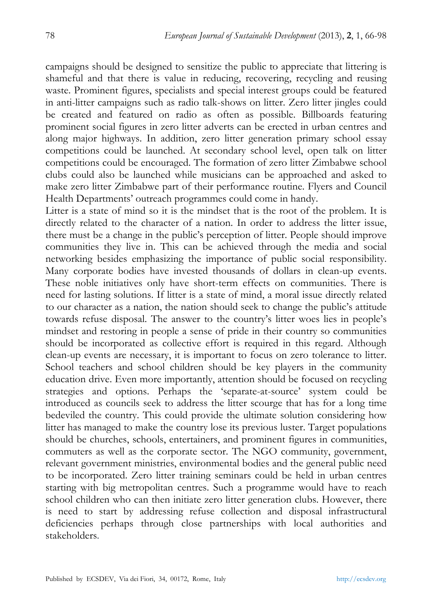campaigns should be designed to sensitize the public to appreciate that littering is shameful and that there is value in reducing, recovering, recycling and reusing waste. Prominent figures, specialists and special interest groups could be featured in anti-litter campaigns such as radio talk-shows on litter. Zero litter jingles could be created and featured on radio as often as possible. Billboards featuring prominent social figures in zero litter adverts can be erected in urban centres and along major highways. In addition, zero litter generation primary school essay competitions could be launched. At secondary school level, open talk on litter competitions could be encouraged. The formation of zero litter Zimbabwe school clubs could also be launched while musicians can be approached and asked to make zero litter Zimbabwe part of their performance routine. Flyers and Council Health Departments' outreach programmes could come in handy.

Litter is a state of mind so it is the mindset that is the root of the problem. It is directly related to the character of a nation. In order to address the litter issue, there must be a change in the public's perception of litter. People should improve communities they live in. This can be achieved through the media and social networking besides emphasizing the importance of public social responsibility. Many corporate bodies have invested thousands of dollars in clean-up events. These noble initiatives only have short-term effects on communities. There is need for lasting solutions. If litter is a state of mind, a moral issue directly related to our character as a nation, the nation should seek to change the public's attitude towards refuse disposal. The answer to the country's litter woes lies in people's mindset and restoring in people a sense of pride in their country so communities should be incorporated as collective effort is required in this regard. Although clean-up events are necessary, it is important to focus on zero tolerance to litter. School teachers and school children should be key players in the community education drive. Even more importantly, attention should be focused on recycling strategies and options. Perhaps the 'separate-at-source' system could be introduced as councils seek to address the litter scourge that has for a long time bedeviled the country. This could provide the ultimate solution considering how litter has managed to make the country lose its previous luster. Target populations should be churches, schools, entertainers, and prominent figures in communities, commuters as well as the corporate sector. The NGO community, government, relevant government ministries, environmental bodies and the general public need to be incorporated. Zero litter training seminars could be held in urban centres starting with big metropolitan centres. Such a programme would have to reach school children who can then initiate zero litter generation clubs. However, there is need to start by addressing refuse collection and disposal infrastructural deficiencies perhaps through close partnerships with local authorities and stakeholders.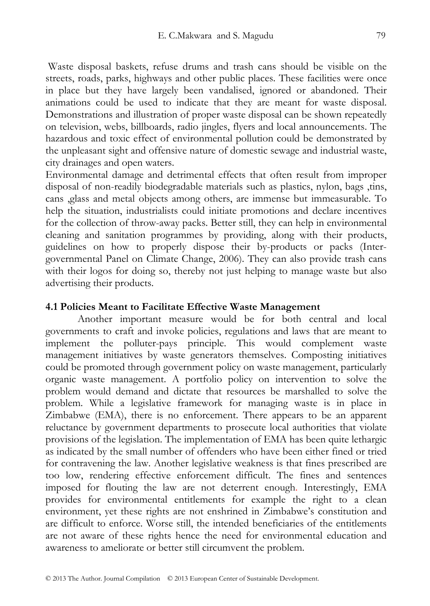Waste disposal baskets, refuse drums and trash cans should be visible on the streets, roads, parks, highways and other public places. These facilities were once in place but they have largely been vandalised, ignored or abandoned. Their animations could be used to indicate that they are meant for waste disposal. Demonstrations and illustration of proper waste disposal can be shown repeatedly on television, webs, billboards, radio jingles, flyers and local announcements. The hazardous and toxic effect of environmental pollution could be demonstrated by the unpleasant sight and offensive nature of domestic sewage and industrial waste, city drainages and open waters.

Environmental damage and detrimental effects that often result from improper disposal of non-readily biodegradable materials such as plastics, nylon, bags ,tins, cans ,glass and metal objects among others, are immense but immeasurable. To help the situation, industrialists could initiate promotions and declare incentives for the collection of throw-away packs. Better still, they can help in environmental cleaning and sanitation programmes by providing, along with their products, guidelines on how to properly dispose their by-products or packs (Intergovernmental Panel on Climate Change, 2006). They can also provide trash cans with their logos for doing so, thereby not just helping to manage waste but also advertising their products.

#### **4.1 Policies Meant to Facilitate Effective Waste Management**

Another important measure would be for both central and local governments to craft and invoke policies, regulations and laws that are meant to implement the polluter-pays principle. This would complement waste management initiatives by waste generators themselves. Composting initiatives could be promoted through government policy on waste management, particularly organic waste management. A portfolio policy on intervention to solve the problem would demand and dictate that resources be marshalled to solve the problem. While a legislative framework for managing waste is in place in Zimbabwe (EMA), there is no enforcement. There appears to be an apparent reluctance by government departments to prosecute local authorities that violate provisions of the legislation. The implementation of EMA has been quite lethargic as indicated by the small number of offenders who have been either fined or tried for contravening the law. Another legislative weakness is that fines prescribed are too low, rendering effective enforcement difficult. The fines and sentences imposed for flouting the law are not deterrent enough. Interestingly, EMA provides for environmental entitlements for example the right to a clean environment, yet these rights are not enshrined in Zimbabwe's constitution and are difficult to enforce. Worse still, the intended beneficiaries of the entitlements are not aware of these rights hence the need for environmental education and awareness to ameliorate or better still circumvent the problem.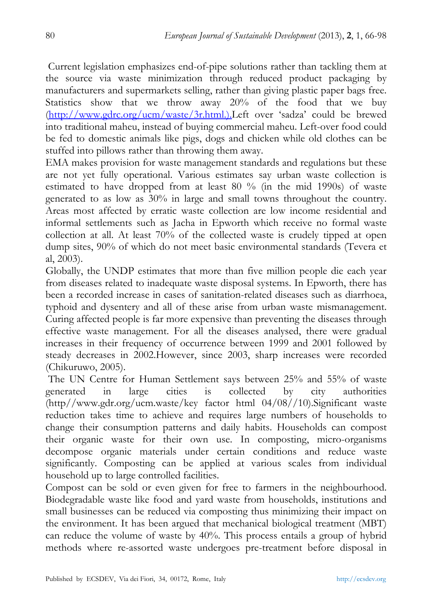Current legislation emphasizes end-of-pipe solutions rather than tackling them at the source via waste minimization through reduced product packaging by manufacturers and supermarkets selling, rather than giving plastic paper bags free. Statistics show that we throw away 20% of the food that we buy (http://www.gdrc.org/ucm/waste/3r.html.).Left over 'sadza' could be brewed into traditional maheu, instead of buying commercial maheu. Left-over food could be fed to domestic animals like pigs, dogs and chicken while old clothes can be stuffed into pillows rather than throwing them away.

EMA makes provision for waste management standards and regulations but these are not yet fully operational. Various estimates say urban waste collection is estimated to have dropped from at least 80 % (in the mid 1990s) of waste generated to as low as 30% in large and small towns throughout the country. Areas most affected by erratic waste collection are low income residential and informal settlements such as Jacha in Epworth which receive no formal waste collection at all. At least 70% of the collected waste is crudely tipped at open dump sites, 90% of which do not meet basic environmental standards (Tevera et al, 2003).

Globally, the UNDP estimates that more than five million people die each year from diseases related to inadequate waste disposal systems. In Epworth, there has been a recorded increase in cases of sanitation-related diseases such as diarrhoea, typhoid and dysentery and all of these arise from urban waste mismanagement. Curing affected people is far more expensive than preventing the diseases through effective waste management. For all the diseases analysed, there were gradual increases in their frequency of occurrence between 1999 and 2001 followed by steady decreases in 2002.However, since 2003, sharp increases were recorded (Chikuruwo, 2005).

 The UN Centre for Human Settlement says between 25% and 55% of waste generated in large cities is collected by city authorities (http//www.gdr.org/ucm.waste/key factor html 04/08//10).Significant waste reduction takes time to achieve and requires large numbers of households to change their consumption patterns and daily habits. Households can compost their organic waste for their own use. In composting, micro-organisms decompose organic materials under certain conditions and reduce waste significantly. Composting can be applied at various scales from individual household up to large controlled facilities.

Compost can be sold or even given for free to farmers in the neighbourhood. Biodegradable waste like food and yard waste from households, institutions and small businesses can be reduced via composting thus minimizing their impact on the environment. It has been argued that mechanical biological treatment (MBT) can reduce the volume of waste by 40%. This process entails a group of hybrid methods where re-assorted waste undergoes pre-treatment before disposal in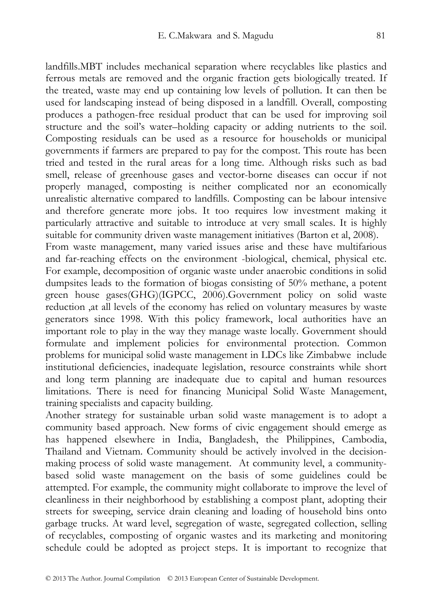landfills.MBT includes mechanical separation where recyclables like plastics and ferrous metals are removed and the organic fraction gets biologically treated. If the treated, waste may end up containing low levels of pollution. It can then be used for landscaping instead of being disposed in a landfill. Overall, composting produces a pathogen-free residual product that can be used for improving soil structure and the soil's water–holding capacity or adding nutrients to the soil. Composting residuals can be used as a resource for households or municipal governments if farmers are prepared to pay for the compost. This route has been tried and tested in the rural areas for a long time. Although risks such as bad smell, release of greenhouse gases and vector-borne diseases can occur if not properly managed, composting is neither complicated nor an economically unrealistic alternative compared to landfills. Composting can be labour intensive and therefore generate more jobs. It too requires low investment making it particularly attractive and suitable to introduce at very small scales. It is highly suitable for community driven waste management initiatives (Barton et al, 2008).

From waste management, many varied issues arise and these have multifarious and far-reaching effects on the environment -biological, chemical, physical etc. For example, decomposition of organic waste under anaerobic conditions in solid dumpsites leads to the formation of biogas consisting of 50% methane, a potent green house gases(GHG)(IGPCC, 2006).Government policy on solid waste reduction ,at all levels of the economy has relied on voluntary measures by waste generators since 1998. With this policy framework, local authorities have an important role to play in the way they manage waste locally. Government should formulate and implement policies for environmental protection. Common problems for municipal solid waste management in LDCs like Zimbabwe include institutional deficiencies, inadequate legislation, resource constraints while short and long term planning are inadequate due to capital and human resources limitations. There is need for financing Municipal Solid Waste Management, training specialists and capacity building.

Another strategy for sustainable urban solid waste management is to adopt a community based approach. New forms of civic engagement should emerge as has happened elsewhere in India, Bangladesh, the Philippines, Cambodia, Thailand and Vietnam. Community should be actively involved in the decisionmaking process of solid waste management. At community level, a communitybased solid waste management on the basis of some guidelines could be attempted. For example, the community might collaborate to improve the level of cleanliness in their neighborhood by establishing a compost plant, adopting their streets for sweeping, service drain cleaning and loading of household bins onto garbage trucks. At ward level, segregation of waste, segregated collection, selling of recyclables, composting of organic wastes and its marketing and monitoring schedule could be adopted as project steps. It is important to recognize that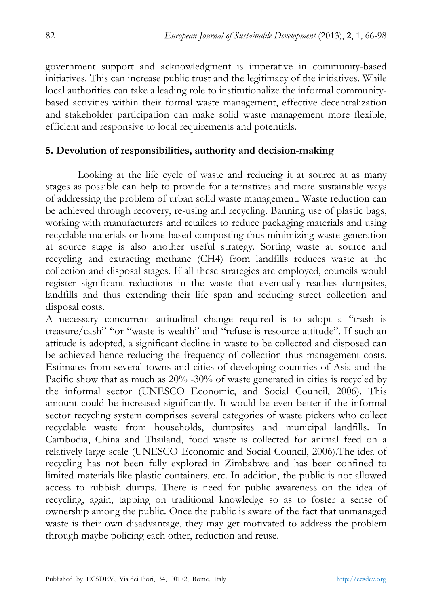government support and acknowledgment is imperative in community-based initiatives. This can increase public trust and the legitimacy of the initiatives. While local authorities can take a leading role to institutionalize the informal communitybased activities within their formal waste management, effective decentralization and stakeholder participation can make solid waste management more flexible, efficient and responsive to local requirements and potentials.

# **5. Devolution of responsibilities, authority and decision-making**

Looking at the life cycle of waste and reducing it at source at as many stages as possible can help to provide for alternatives and more sustainable ways of addressing the problem of urban solid waste management. Waste reduction can be achieved through recovery, re-using and recycling. Banning use of plastic bags, working with manufacturers and retailers to reduce packaging materials and using recyclable materials or home-based composting thus minimizing waste generation at source stage is also another useful strategy. Sorting waste at source and recycling and extracting methane (CH4) from landfills reduces waste at the collection and disposal stages. If all these strategies are employed, councils would register significant reductions in the waste that eventually reaches dumpsites, landfills and thus extending their life span and reducing street collection and disposal costs.

A necessary concurrent attitudinal change required is to adopt a "trash is treasure/cash" "or "waste is wealth" and "refuse is resource attitude". If such an attitude is adopted, a significant decline in waste to be collected and disposed can be achieved hence reducing the frequency of collection thus management costs. Estimates from several towns and cities of developing countries of Asia and the Pacific show that as much as  $20\%$  -30% of waste generated in cities is recycled by the informal sector (UNESCO Economic, and Social Council, 2006). This amount could be increased significantly. It would be even better if the informal sector recycling system comprises several categories of waste pickers who collect recyclable waste from households, dumpsites and municipal landfills. In Cambodia, China and Thailand, food waste is collected for animal feed on a relatively large scale (UNESCO Economic and Social Council, 2006).The idea of recycling has not been fully explored in Zimbabwe and has been confined to limited materials like plastic containers, etc. In addition, the public is not allowed access to rubbish dumps. There is need for public awareness on the idea of recycling, again, tapping on traditional knowledge so as to foster a sense of ownership among the public. Once the public is aware of the fact that unmanaged waste is their own disadvantage, they may get motivated to address the problem through maybe policing each other, reduction and reuse.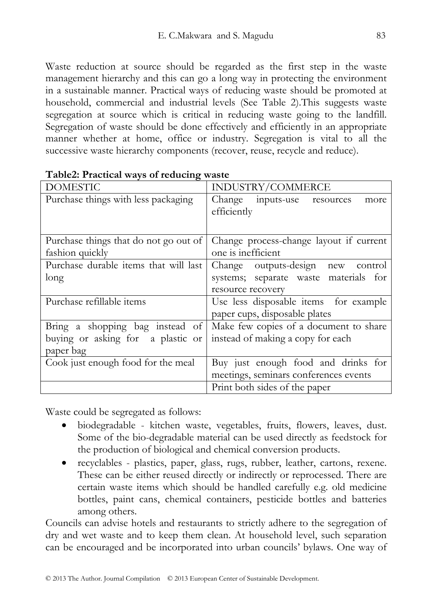Waste reduction at source should be regarded as the first step in the waste management hierarchy and this can go a long way in protecting the environment in a sustainable manner. Practical ways of reducing waste should be promoted at household, commercial and industrial levels (See Table 2).This suggests waste segregation at source which is critical in reducing waste going to the landfill. Segregation of waste should be done effectively and efficiently in an appropriate manner whether at home, office or industry. Segregation is vital to all the successive waste hierarchy components (recover, reuse, recycle and reduce).

| <b>DOMESTIC</b>                       | INDUSTRY/COMMERCE                       |  |  |
|---------------------------------------|-----------------------------------------|--|--|
| Purchase things with less packaging   | Change inputs-use resources<br>more     |  |  |
|                                       | efficiently                             |  |  |
|                                       |                                         |  |  |
| Purchase things that do not go out of | Change process-change layout if current |  |  |
| fashion quickly                       | one is inefficient                      |  |  |
| Purchase durable items that will last | Change outputs-design new control       |  |  |
| long                                  | systems; separate waste materials for   |  |  |
|                                       | resource recovery                       |  |  |
| Purchase refillable items             | Use less disposable items for example   |  |  |
|                                       | paper cups, disposable plates           |  |  |
| Bring a shopping bag instead of       | Make few copies of a document to share  |  |  |
| buying or asking for a plastic or     | instead of making a copy for each       |  |  |
| paper bag                             |                                         |  |  |
| Cook just enough food for the meal    | Buy just enough food and drinks for     |  |  |
|                                       | meetings, seminars conferences events   |  |  |
|                                       | Print both sides of the paper           |  |  |

Waste could be segregated as follows:

- biodegradable kitchen waste, vegetables, fruits, flowers, leaves, dust. Some of the bio-degradable material can be used directly as feedstock for the production of biological and chemical conversion products.
- recyclables plastics, paper, glass, rugs, rubber, leather, cartons, rexene. These can be either reused directly or indirectly or reprocessed. There are certain waste items which should be handled carefully e.g. old medicine bottles, paint cans, chemical containers, pesticide bottles and batteries among others.

Councils can advise hotels and restaurants to strictly adhere to the segregation of dry and wet waste and to keep them clean. At household level, such separation can be encouraged and be incorporated into urban councils' bylaws. One way of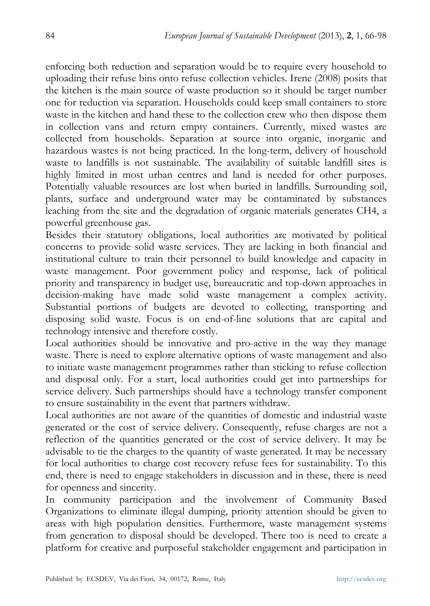enforcing both reduction and separation would be to require every household to uploading their refuse bins onto refuse collection vehicles. Irene (2008) posits that the kitchen is the main source of waste production so it should be target number one for reduction via separation. Households could keep small containers to store waste in the kitchen and hand these to the collection crew who then dispose them in collection vans and return empty containers. Currently, mixed wastes are collected from households. Separation at source into organic, inorganic and hazardous wastes is not being practiced. In the long-term, delivery of household waste to landfills is not sustainable. The availability of suitable landfill sites is highly limited in most urban centres and land is needed for other purposes. Potentially valuable resources are lost when buried in landfills. Surrounding soil, plants, surface and underground water may be contaminated by substances leaching from the site and the degradation of organic materials generates CH4, a powerful greenhouse gas.

Besides their statutory obligations, local authorities are motivated by political concerns to provide solid waste services. They are lacking in both financial and institutional culture to train their personnel to build knowledge and capacity in waste management. Poor government policy and response, lack of political priority and transparency in budget use, bureaucratic and top-down approaches in decision-making have made solid waste management a complex activity. Substantial portions of budgets are devoted to collecting, transporting and disposing solid waste. Focus is on end-of-line solutions that are capital and technology intensive and therefore costly.

Local authorities should be innovative and pro-active in the way they manage waste. There is need to explore alternative options of waste management and also to initiate waste management programmes rather than sticking to refuse collection and disposal only. For a start, local authorities could get into partnerships for service delivery. Such partnerships should have a technology transfer component to ensure sustainability in the event that partners withdraw.

Local authorities are not aware of the quantities of domestic and industrial waste generated or the cost of service delivery. Consequently, refuse charges are not a reflection of the quantities generated or the cost of service delivery. It may be advisable to tie the charges to the quantity of waste generated. It may be necessary for local authorities to charge cost recovery refuse fees for sustainability. To this end, there is need to engage stakeholders in discussion and in these, there is need for openness and sincerity.

In community participation and the involvement of Community Based Organizations to eliminate illegal dumping, priority attention should be given to areas with high population densities. Furthermore, waste management systems from generation to disposal should be developed. There too is need to create a platform for creative and purposeful stakeholder engagement and participation in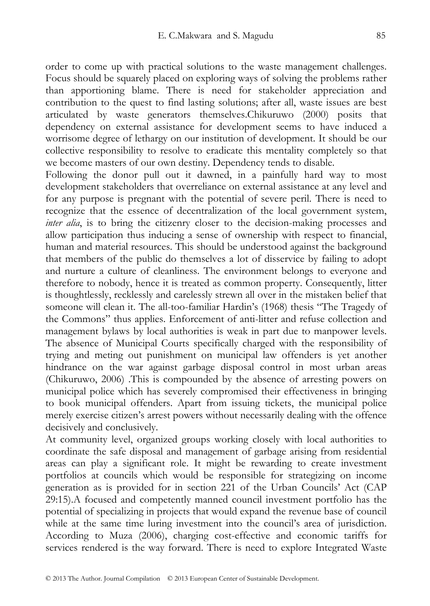order to come up with practical solutions to the waste management challenges. Focus should be squarely placed on exploring ways of solving the problems rather than apportioning blame. There is need for stakeholder appreciation and contribution to the quest to find lasting solutions; after all, waste issues are best articulated by waste generators themselves.Chikuruwo (2000) posits that dependency on external assistance for development seems to have induced a worrisome degree of lethargy on our institution of development. It should be our collective responsibility to resolve to eradicate this mentality completely so that we become masters of our own destiny. Dependency tends to disable.

Following the donor pull out it dawned, in a painfully hard way to most development stakeholders that overreliance on external assistance at any level and for any purpose is pregnant with the potential of severe peril. There is need to recognize that the essence of decentralization of the local government system, *inter alia*, is to bring the citizenry closer to the decision-making processes and allow participation thus inducing a sense of ownership with respect to financial, human and material resources. This should be understood against the background that members of the public do themselves a lot of disservice by failing to adopt and nurture a culture of cleanliness. The environment belongs to everyone and therefore to nobody, hence it is treated as common property. Consequently, litter is thoughtlessly, recklessly and carelessly strewn all over in the mistaken belief that someone will clean it. The all-too-familiar Hardin's (1968) thesis "The Tragedy of the Commons" thus applies. Enforcement of anti-litter and refuse collection and management bylaws by local authorities is weak in part due to manpower levels. The absence of Municipal Courts specifically charged with the responsibility of trying and meting out punishment on municipal law offenders is yet another hindrance on the war against garbage disposal control in most urban areas (Chikuruwo, 2006) .This is compounded by the absence of arresting powers on municipal police which has severely compromised their effectiveness in bringing to book municipal offenders. Apart from issuing tickets, the municipal police merely exercise citizen's arrest powers without necessarily dealing with the offence decisively and conclusively.

At community level, organized groups working closely with local authorities to coordinate the safe disposal and management of garbage arising from residential areas can play a significant role. It might be rewarding to create investment portfolios at councils which would be responsible for strategizing on income generation as is provided for in section 221 of the Urban Councils' Act (CAP 29:15).A focused and competently manned council investment portfolio has the potential of specializing in projects that would expand the revenue base of council while at the same time luring investment into the council's area of jurisdiction. According to Muza (2006), charging cost-effective and economic tariffs for services rendered is the way forward. There is need to explore Integrated Waste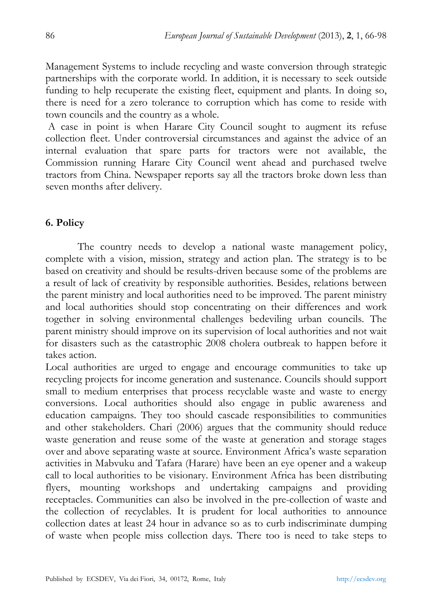Management Systems to include recycling and waste conversion through strategic partnerships with the corporate world. In addition, it is necessary to seek outside funding to help recuperate the existing fleet, equipment and plants. In doing so, there is need for a zero tolerance to corruption which has come to reside with town councils and the country as a whole.

 A case in point is when Harare City Council sought to augment its refuse collection fleet. Under controversial circumstances and against the advice of an internal evaluation that spare parts for tractors were not available, the Commission running Harare City Council went ahead and purchased twelve tractors from China. Newspaper reports say all the tractors broke down less than seven months after delivery.

## **6. Policy**

The country needs to develop a national waste management policy, complete with a vision, mission, strategy and action plan. The strategy is to be based on creativity and should be results-driven because some of the problems are a result of lack of creativity by responsible authorities. Besides, relations between the parent ministry and local authorities need to be improved. The parent ministry and local authorities should stop concentrating on their differences and work together in solving environmental challenges bedeviling urban councils. The parent ministry should improve on its supervision of local authorities and not wait for disasters such as the catastrophic 2008 cholera outbreak to happen before it takes action.

Local authorities are urged to engage and encourage communities to take up recycling projects for income generation and sustenance. Councils should support small to medium enterprises that process recyclable waste and waste to energy conversions. Local authorities should also engage in public awareness and education campaigns. They too should cascade responsibilities to communities and other stakeholders. Chari (2006) argues that the community should reduce waste generation and reuse some of the waste at generation and storage stages over and above separating waste at source. Environment Africa's waste separation activities in Mabvuku and Tafara (Harare) have been an eye opener and a wakeup call to local authorities to be visionary. Environment Africa has been distributing flyers, mounting workshops and undertaking campaigns and providing receptacles. Communities can also be involved in the pre-collection of waste and the collection of recyclables. It is prudent for local authorities to announce collection dates at least 24 hour in advance so as to curb indiscriminate dumping of waste when people miss collection days. There too is need to take steps to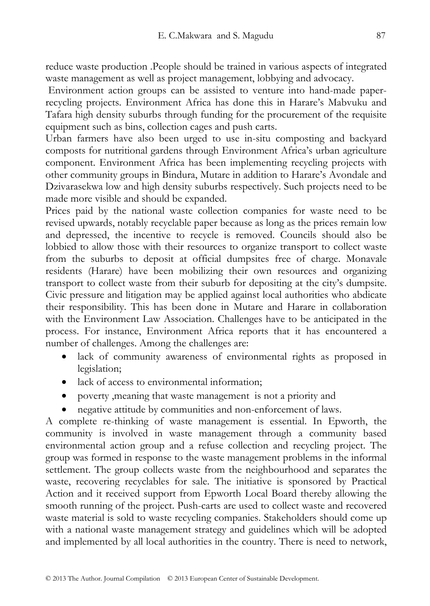reduce waste production .People should be trained in various aspects of integrated waste management as well as project management, lobbying and advocacy.

 Environment action groups can be assisted to venture into hand-made paperrecycling projects. Environment Africa has done this in Harare's Mabvuku and Tafara high density suburbs through funding for the procurement of the requisite equipment such as bins, collection cages and push carts.

Urban farmers have also been urged to use in-situ composting and backyard composts for nutritional gardens through Environment Africa's urban agriculture component. Environment Africa has been implementing recycling projects with other community groups in Bindura, Mutare in addition to Harare's Avondale and Dzivarasekwa low and high density suburbs respectively. Such projects need to be made more visible and should be expanded.

Prices paid by the national waste collection companies for waste need to be revised upwards, notably recyclable paper because as long as the prices remain low and depressed, the incentive to recycle is removed. Councils should also be lobbied to allow those with their resources to organize transport to collect waste from the suburbs to deposit at official dumpsites free of charge. Monavale residents (Harare) have been mobilizing their own resources and organizing transport to collect waste from their suburb for depositing at the city's dumpsite. Civic pressure and litigation may be applied against local authorities who abdicate their responsibility. This has been done in Mutare and Harare in collaboration with the Environment Law Association. Challenges have to be anticipated in the process. For instance, Environment Africa reports that it has encountered a number of challenges. Among the challenges are:

- lack of community awareness of environmental rights as proposed in legislation;
- lack of access to environmental information;
- poverty ,meaning that waste management is not a priority and
- negative attitude by communities and non-enforcement of laws.

A complete re-thinking of waste management is essential. In Epworth, the community is involved in waste management through a community based environmental action group and a refuse collection and recycling project. The group was formed in response to the waste management problems in the informal settlement. The group collects waste from the neighbourhood and separates the waste, recovering recyclables for sale. The initiative is sponsored by Practical Action and it received support from Epworth Local Board thereby allowing the smooth running of the project. Push-carts are used to collect waste and recovered waste material is sold to waste recycling companies. Stakeholders should come up with a national waste management strategy and guidelines which will be adopted and implemented by all local authorities in the country. There is need to network,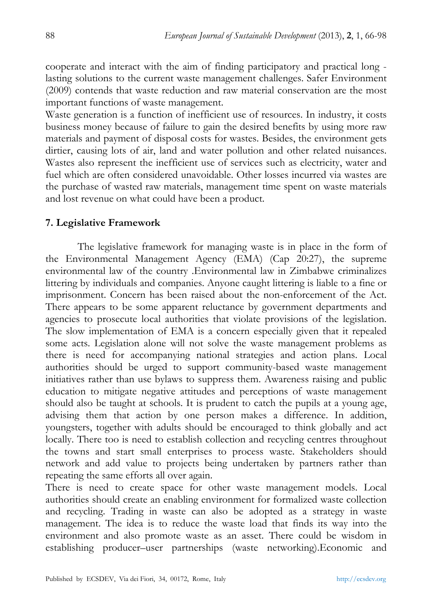cooperate and interact with the aim of finding participatory and practical long lasting solutions to the current waste management challenges. Safer Environment (2009) contends that waste reduction and raw material conservation are the most important functions of waste management.

Waste generation is a function of inefficient use of resources. In industry, it costs business money because of failure to gain the desired benefits by using more raw materials and payment of disposal costs for wastes. Besides, the environment gets dirtier, causing lots of air, land and water pollution and other related nuisances. Wastes also represent the inefficient use of services such as electricity, water and fuel which are often considered unavoidable. Other losses incurred via wastes are the purchase of wasted raw materials, management time spent on waste materials and lost revenue on what could have been a product.

## **7. Legislative Framework**

The legislative framework for managing waste is in place in the form of the Environmental Management Agency (EMA) (Cap 20:27), the supreme environmental law of the country .Environmental law in Zimbabwe criminalizes littering by individuals and companies. Anyone caught littering is liable to a fine or imprisonment. Concern has been raised about the non-enforcement of the Act. There appears to be some apparent reluctance by government departments and agencies to prosecute local authorities that violate provisions of the legislation. The slow implementation of EMA is a concern especially given that it repealed some acts. Legislation alone will not solve the waste management problems as there is need for accompanying national strategies and action plans. Local authorities should be urged to support community-based waste management initiatives rather than use bylaws to suppress them. Awareness raising and public education to mitigate negative attitudes and perceptions of waste management should also be taught at schools. It is prudent to catch the pupils at a young age, advising them that action by one person makes a difference. In addition, youngsters, together with adults should be encouraged to think globally and act locally. There too is need to establish collection and recycling centres throughout the towns and start small enterprises to process waste. Stakeholders should network and add value to projects being undertaken by partners rather than repeating the same efforts all over again.

There is need to create space for other waste management models. Local authorities should create an enabling environment for formalized waste collection and recycling. Trading in waste can also be adopted as a strategy in waste management. The idea is to reduce the waste load that finds its way into the environment and also promote waste as an asset. There could be wisdom in establishing producer–user partnerships (waste networking).Economic and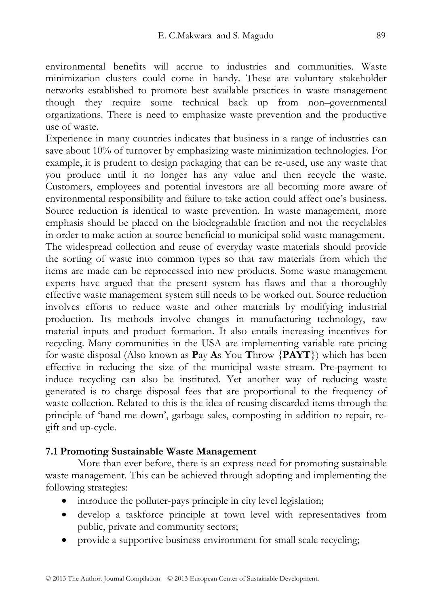environmental benefits will accrue to industries and communities. Waste minimization clusters could come in handy. These are voluntary stakeholder networks established to promote best available practices in waste management though they require some technical back up from non–governmental organizations. There is need to emphasize waste prevention and the productive use of waste.

Experience in many countries indicates that business in a range of industries can save about 10% of turnover by emphasizing waste minimization technologies. For example, it is prudent to design packaging that can be re-used, use any waste that you produce until it no longer has any value and then recycle the waste. Customers, employees and potential investors are all becoming more aware of environmental responsibility and failure to take action could affect one's business. Source reduction is identical to waste prevention. In waste management, more emphasis should be placed on the biodegradable fraction and not the recyclables in order to make action at source beneficial to municipal solid waste management. The widespread collection and reuse of everyday waste materials should provide

the sorting of waste into common types so that raw materials from which the items are made can be reprocessed into new products. Some waste management experts have argued that the present system has flaws and that a thoroughly effective waste management system still needs to be worked out. Source reduction involves efforts to reduce waste and other materials by modifying industrial production. Its methods involve changes in manufacturing technology, raw material inputs and product formation. It also entails increasing incentives for recycling. Many communities in the USA are implementing variable rate pricing for waste disposal (Also known as **P**ay **A**s You **T**hrow {**PAYT**}) which has been effective in reducing the size of the municipal waste stream. Pre-payment to induce recycling can also be instituted. Yet another way of reducing waste generated is to charge disposal fees that are proportional to the frequency of waste collection. Related to this is the idea of reusing discarded items through the principle of 'hand me down', garbage sales, composting in addition to repair, regift and up-cycle.

# **7.1 Promoting Sustainable Waste Management**

More than ever before, there is an express need for promoting sustainable waste management. This can be achieved through adopting and implementing the following strategies:

- introduce the polluter-pays principle in city level legislation;
- develop a taskforce principle at town level with representatives from public, private and community sectors;
- provide a supportive business environment for small scale recycling;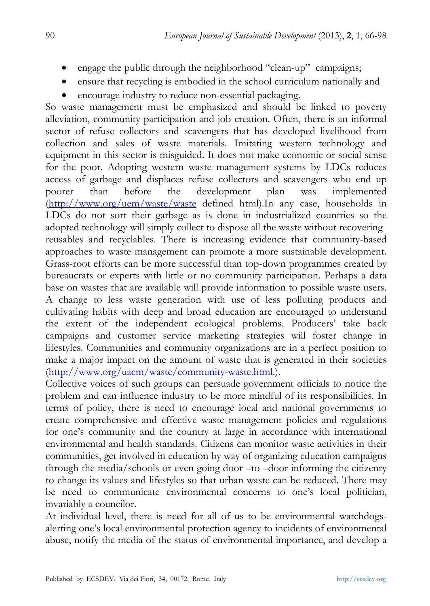- engage the public through the neighborhood "clean-up" campaigns;
- ensure that recycling is embodied in the school curriculum nationally and
- encourage industry to reduce non-essential packaging.

So waste management must be emphasized and should be linked to poverty alleviation, community participation and job creation. Often, there is an informal sector of refuse collectors and scavengers that has developed livelihood from collection and sales of waste materials. Imitating western technology and equipment in this sector is misguided. It does not make economic or social sense for the poor. Adopting western waste management systems by LDCs reduces access of garbage and displaces refuse collectors and scavengers who end up poorer than before the development plan was implemented (http://www.org/uem/waste/waste defined html).In any case, households in LDCs do not sort their garbage as is done in industrialized countries so the adopted technology will simply collect to dispose all the waste without recovering reusables and recyclables. There is increasing evidence that community-based approaches to waste management can promote a more sustainable development. Grass-root efforts can be more successful than top-down programmes created by bureaucrats or experts with little or no community participation. Perhaps a data base on wastes that are available will provide information to possible waste users. A change to less waste generation with use of less polluting products and cultivating habits with deep and broad education are encouraged to understand the extent of the independent ecological problems. Producers' take back campaigns and customer service marketing strategies will foster change in lifestyles. Communities and community organizations are in a perfect position to make a major impact on the amount of waste that is generated in their societies (http://www.org/uacm/waste/community-waste.html.).

Collective voices of such groups can persuade government officials to notice the problem and can influence industry to be more mindful of its responsibilities. In terms of policy, there is need to encourage local and national governments to create comprehensive and effective waste management policies and regulations for one's community and the country at large in accordance with international environmental and health standards. Citizens can monitor waste activities in their communities, get involved in education by way of organizing education campaigns through the media/schools or even going door –to –door informing the citizenry to change its values and lifestyles so that urban waste can be reduced. There may be need to communicate environmental concerns to one's local politician, invariably a councilor.

At individual level, there is need for all of us to be environmental watchdogsalerting one's local environmental protection agency to incidents of environmental abuse, notify the media of the status of environmental importance, and develop a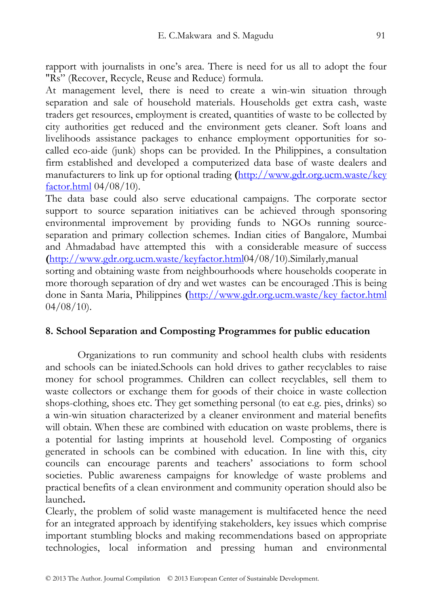rapport with journalists in one's area. There is need for us all to adopt the four "Rs" (Recover, Recycle, Reuse and Reduce) formula.

At management level, there is need to create a win-win situation through separation and sale of household materials. Households get extra cash, waste traders get resources, employment is created, quantities of waste to be collected by city authorities get reduced and the environment gets cleaner. Soft loans and livelihoods assistance packages to enhance employment opportunities for socalled eco-aide (junk) shops can be provided. In the Philippines, a consultation firm established and developed a computerized data base of waste dealers and manufacturers to link up for optional trading **(**http://www.gdr.org.ucm.waste/key factor.html 04/08/10).

The data base could also serve educational campaigns. The corporate sector support to source separation initiatives can be achieved through sponsoring environmental improvement by providing funds to NGOs running sourceseparation and primary collection schemes. Indian cities of Bangalore, Mumbai and Ahmadabad have attempted this with a considerable measure of success **(**http://www.gdr.org.ucm.waste/keyfactor.html04/08/10).Similarly,manual

sorting and obtaining waste from neighbourhoods where households cooperate in more thorough separation of dry and wet wastes can be encouraged .This is being done in Santa Maria, Philippines **(**http://www.gdr.org.ucm.waste/key factor.html  $04/08/10$ ).

# **8. School Separation and Composting Programmes for public education**

Organizations to run community and school health clubs with residents and schools can be iniated.Schools can hold drives to gather recyclables to raise money for school programmes. Children can collect recyclables, sell them to waste collectors or exchange them for goods of their choice in waste collection shops-clothing, shoes etc. They get something personal (to eat e.g. pies, drinks) so a win-win situation characterized by a cleaner environment and material benefits will obtain. When these are combined with education on waste problems, there is a potential for lasting imprints at household level. Composting of organics generated in schools can be combined with education. In line with this, city councils can encourage parents and teachers' associations to form school societies. Public awareness campaigns for knowledge of waste problems and practical benefits of a clean environment and community operation should also be launched**.** 

Clearly, the problem of solid waste management is multifaceted hence the need for an integrated approach by identifying stakeholders, key issues which comprise important stumbling blocks and making recommendations based on appropriate technologies, local information and pressing human and environmental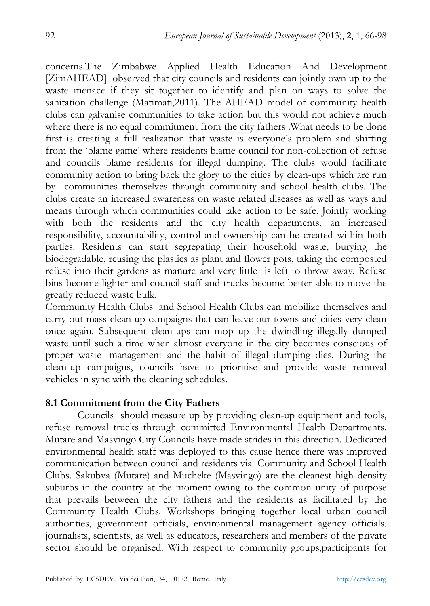concerns.The Zimbabwe Applied Health Education And Development [ZimAHEAD] observed that city councils and residents can jointly own up to the waste menace if they sit together to identify and plan on ways to solve the sanitation challenge (Matimati,2011). The AHEAD model of community health clubs can galvanise communities to take action but this would not achieve much where there is no equal commitment from the city fathers .What needs to be done first is creating a full realization that waste is everyone's problem and shifting from the 'blame game' where residents blame council for non-collection of refuse and councils blame residents for illegal dumping. The clubs would facilitate community action to bring back the glory to the cities by clean-ups which are run by communities themselves through community and school health clubs. The clubs create an increased awareness on waste related diseases as well as ways and means through which communities could take action to be safe. Jointly working with both the residents and the city health departments, an increased responsibility, accountability, control and ownership can be created within both parties. Residents can start segregating their household waste, burying the biodegradable, reusing the plastics as plant and flower pots, taking the composted refuse into their gardens as manure and very little is left to throw away. Refuse bins become lighter and council staff and trucks become better able to move the greatly reduced waste bulk.

Community Health Clubs and School Health Clubs can mobilize themselves and carry out mass clean-up campaigns that can leave our towns and cities very clean once again. Subsequent clean-ups can mop up the dwindling illegally dumped waste until such a time when almost everyone in the city becomes conscious of proper waste management and the habit of illegal dumping dies. During the clean-up campaigns, councils have to prioritise and provide waste removal vehicles in sync with the cleaning schedules.

# **8.1 Commitment from the City Fathers**

Councils should measure up by providing clean-up equipment and tools, refuse removal trucks through committed Environmental Health Departments. Mutare and Masvingo City Councils have made strides in this direction. Dedicated environmental health staff was deployed to this cause hence there was improved communication between council and residents via Community and School Health Clubs. Sakubva (Mutare) and Mucheke (Masvingo) are the cleanest high density suburbs in the country at the moment owing to the common unity of purpose that prevails between the city fathers and the residents as facilitated by the Community Health Clubs. Workshops bringing together local urban council authorities, government officials, environmental management agency officials, journalists, scientists, as well as educators, researchers and members of the private sector should be organised. With respect to community groups,participants for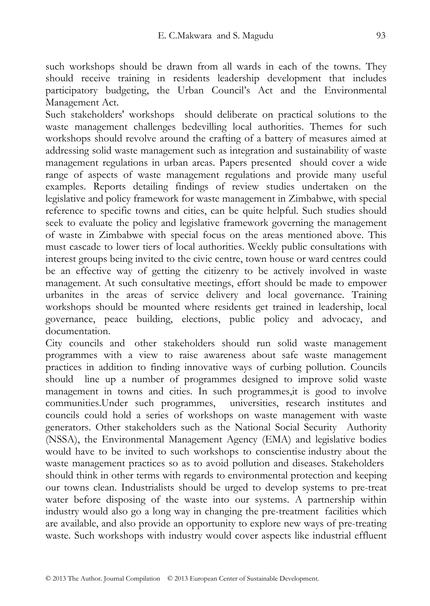such workshops should be drawn from all wards in each of the towns. They should receive training in residents leadership development that includes participatory budgeting, the Urban Council's Act and the Environmental Management Act.

Such stakeholders' workshops should deliberate on practical solutions to the waste management challenges bedevilling local authorities. Themes for such workshops should revolve around the crafting of a battery of measures aimed at addressing solid waste management such as integration and sustainability of waste management regulations in urban areas. Papers presented should cover a wide range of aspects of waste management regulations and provide many useful examples. Reports detailing findings of review studies undertaken on the legislative and policy framework for waste management in Zimbabwe, with special reference to specific towns and cities, can be quite helpful. Such studies should seek to evaluate the policy and legislative framework governing the management of waste in Zimbabwe with special focus on the areas mentioned above. This must cascade to lower tiers of local authorities. Weekly public consultations with interest groups being invited to the civic centre, town house or ward centres could be an effective way of getting the citizenry to be actively involved in waste management. At such consultative meetings, effort should be made to empower urbanites in the areas of service delivery and local governance. Training workshops should be mounted where residents get trained in leadership, local governance, peace building, elections, public policy and advocacy, and documentation.

City councils and other stakeholders should run solid waste management programmes with a view to raise awareness about safe waste management practices in addition to finding innovative ways of curbing pollution. Councils should line up a number of programmes designed to improve solid waste management in towns and cities. In such programmes,it is good to involve communities.Under such programmes, universities, research institutes and councils could hold a series of workshops on waste management with waste generators. Other stakeholders such as the National Social Security Authority (NSSA), the Environmental Management Agency (EMA) and legislative bodies would have to be invited to such workshops to conscientise industry about the waste management practices so as to avoid pollution and diseases. Stakeholders should think in other terms with regards to environmental protection and keeping our towns clean. Industrialists should be urged to develop systems to pre-treat water before disposing of the waste into our systems. A partnership within industry would also go a long way in changing the pre-treatment facilities which are available, and also provide an opportunity to explore new ways of pre-treating waste. Such workshops with industry would cover aspects like industrial effluent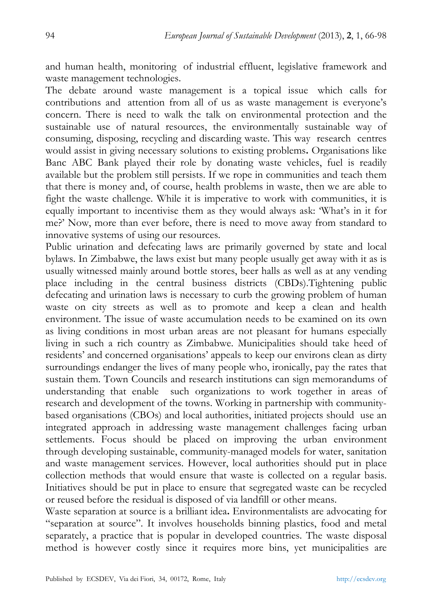and human health, monitoring of industrial effluent, legislative framework and waste management technologies.

The debate around waste management is a topical issue which calls for contributions and attention from all of us as waste management is everyone's concern. There is need to walk the talk on environmental protection and the sustainable use of natural resources, the environmentally sustainable way of consuming, disposing, recycling and discarding waste. This way research centres would assist in giving necessary solutions to existing problems**.** Organisations like Banc ABC Bank played their role by donating waste vehicles, fuel is readily available but the problem still persists. If we rope in communities and teach them that there is money and, of course, health problems in waste, then we are able to fight the waste challenge. While it is imperative to work with communities, it is equally important to incentivise them as they would always ask: 'What's in it for me?' Now, more than ever before, there is need to move away from standard to innovative systems of using our resources.

Public urination and defecating laws are primarily governed by state and local bylaws. In Zimbabwe, the laws exist but many people usually get away with it as is usually witnessed mainly around bottle stores, beer halls as well as at any vending place including in the central business districts (CBDs).Tightening public defecating and urination laws is necessary to curb the growing problem of human waste on city streets as well as to promote and keep a clean and health environment. The issue of waste accumulation needs to be examined on its own as living conditions in most urban areas are not pleasant for humans especially living in such a rich country as Zimbabwe. Municipalities should take heed of residents' and concerned organisations' appeals to keep our environs clean as dirty surroundings endanger the lives of many people who, ironically, pay the rates that sustain them. Town Councils and research institutions can sign memorandums of understanding that enable such organizations to work together in areas of research and development of the towns. Working in partnership with communitybased organisations (CBOs) and local authorities, initiated projects should use an integrated approach in addressing waste management challenges facing urban settlements. Focus should be placed on improving the urban environment through developing sustainable, community-managed models for water, sanitation and waste management services. However, local authorities should put in place collection methods that would ensure that waste is collected on a regular basis. Initiatives should be put in place to ensure that segregated waste can be recycled or reused before the residual is disposed of via landfill or other means.

Waste separation at source is a brilliant idea**.** Environmentalists are advocating for "separation at source". It involves households binning plastics, food and metal separately, a practice that is popular in developed countries. The waste disposal method is however costly since it requires more bins, yet municipalities are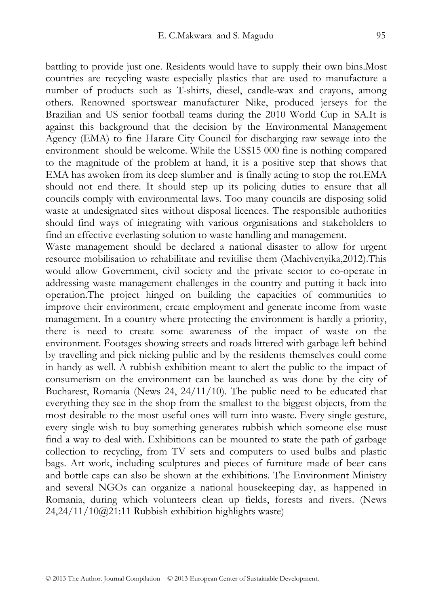battling to provide just one. Residents would have to supply their own bins.Most countries are recycling waste especially plastics that are used to manufacture a number of products such as T-shirts, diesel, candle-wax and crayons, among others. Renowned sportswear manufacturer Nike, produced jerseys for the Brazilian and US senior football teams during the 2010 World Cup in SA.It is against this background that the decision by the Environmental Management Agency (EMA) to fine Harare City Council for discharging raw sewage into the environment should be welcome. While the US\$15 000 fine is nothing compared to the magnitude of the problem at hand, it is a positive step that shows that EMA has awoken from its deep slumber and is finally acting to stop the rot.EMA should not end there. It should step up its policing duties to ensure that all councils comply with environmental laws. Too many councils are disposing solid waste at undesignated sites without disposal licences. The responsible authorities should find ways of integrating with various organisations and stakeholders to

find an effective everlasting solution to waste handling and management. Waste management should be declared a national disaster to allow for urgent resource mobilisation to rehabilitate and revitilise them (Machivenyika,2012).This would allow Government, civil society and the private sector to co-operate in addressing waste management challenges in the country and putting it back into operation.The project hinged on building the capacities of communities to improve their environment, create employment and generate income from waste management. In a country where protecting the environment is hardly a priority, there is need to create some awareness of the impact of waste on the environment. Footages showing streets and roads littered with garbage left behind by travelling and pick nicking public and by the residents themselves could come in handy as well. A rubbish exhibition meant to alert the public to the impact of consumerism on the environment can be launched as was done by the city of Bucharest, Romania (News 24, 24/11/10). The public need to be educated that everything they see in the shop from the smallest to the biggest objects, from the most desirable to the most useful ones will turn into waste. Every single gesture, every single wish to buy something generates rubbish which someone else must find a way to deal with. Exhibitions can be mounted to state the path of garbage collection to recycling, from TV sets and computers to used bulbs and plastic bags. Art work, including sculptures and pieces of furniture made of beer cans and bottle caps can also be shown at the exhibitions. The Environment Ministry and several NGOs can organize a national housekeeping day, as happened in Romania, during which volunteers clean up fields, forests and rivers. (News 24,24/11/10@21:11 Rubbish exhibition highlights waste)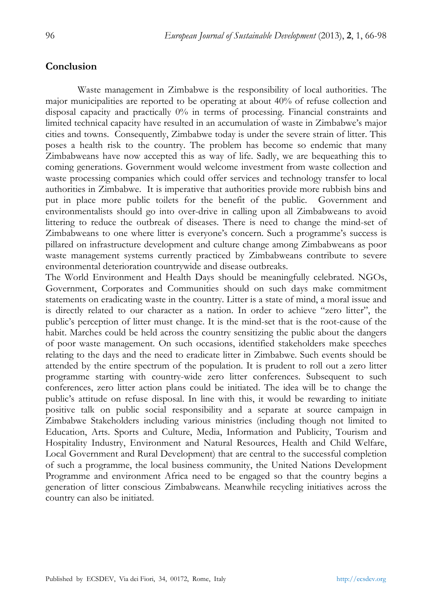#### **Conclusion**

Waste management in Zimbabwe is the responsibility of local authorities. The major municipalities are reported to be operating at about 40% of refuse collection and disposal capacity and practically 0% in terms of processing. Financial constraints and limited technical capacity have resulted in an accumulation of waste in Zimbabwe's major cities and towns. Consequently, Zimbabwe today is under the severe strain of litter. This poses a health risk to the country. The problem has become so endemic that many Zimbabweans have now accepted this as way of life. Sadly, we are bequeathing this to coming generations. Government would welcome investment from waste collection and waste processing companies which could offer services and technology transfer to local authorities in Zimbabwe. It is imperative that authorities provide more rubbish bins and put in place more public toilets for the benefit of the public. Government and environmentalists should go into over-drive in calling upon all Zimbabweans to avoid littering to reduce the outbreak of diseases. There is need to change the mind-set of Zimbabweans to one where litter is everyone's concern. Such a programme's success is pillared on infrastructure development and culture change among Zimbabweans as poor waste management systems currently practiced by Zimbabweans contribute to severe environmental deterioration countrywide and disease outbreaks.

The World Environment and Health Days should be meaningfully celebrated. NGOs, Government, Corporates and Communities should on such days make commitment statements on eradicating waste in the country. Litter is a state of mind, a moral issue and is directly related to our character as a nation. In order to achieve "zero litter", the public's perception of litter must change. It is the mind-set that is the root-cause of the habit. Marches could be held across the country sensitizing the public about the dangers of poor waste management. On such occasions, identified stakeholders make speeches relating to the days and the need to eradicate litter in Zimbabwe. Such events should be attended by the entire spectrum of the population. It is prudent to roll out a zero litter programme starting with country-wide zero litter conferences. Subsequent to such conferences, zero litter action plans could be initiated. The idea will be to change the public's attitude on refuse disposal. In line with this, it would be rewarding to initiate positive talk on public social responsibility and a separate at source campaign in Zimbabwe Stakeholders including various ministries (including though not limited to Education, Arts. Sports and Culture, Media, Information and Publicity, Tourism and Hospitality Industry, Environment and Natural Resources, Health and Child Welfare, Local Government and Rural Development) that are central to the successful completion of such a programme, the local business community, the United Nations Development Programme and environment Africa need to be engaged so that the country begins a generation of litter conscious Zimbabweans. Meanwhile recycling initiatives across the country can also be initiated.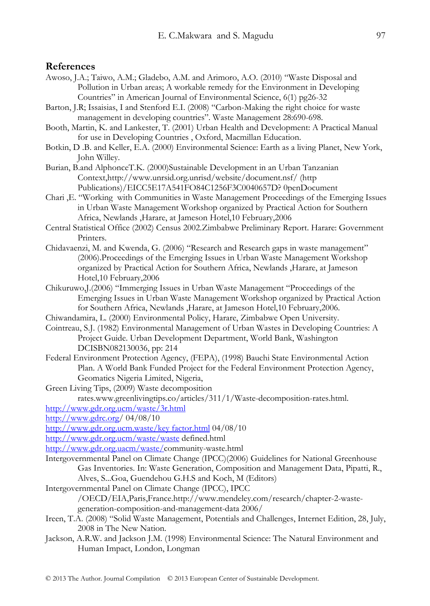#### **References**

- Awoso, J.A.; Taiwo, A.M.; Gladebo, A.M. and Arimoro, A.O. (2010) "Waste Disposal and Pollution in Urban areas; A workable remedy for the Environment in Developing Countries" in American Journal of Environmental Science, 6(1) pg26-32
- Barton, J.R; Issaisias, I and Stenford E.I. (2008) "Carbon-Making the right choice for waste management in developing countries". Waste Management 28:690-698.
- Booth, Martin, K. and Lankester, T. (2001) Urban Health and Development: A Practical Manual for use in Developing Countries , Oxford, Macmillan Education.
- Botkin, D .B. and Keller, E.A. (2000) Environmental Science: Earth as a living Planet, New York, John Willey.
- Burian, B.and AlphonceT.K. (2000)Sustainable Development in an Urban Tanzanian Context,http://www.unrsid.org.unrisd/website/document.nsf/ (http Publications)/EICC5E17A541FO84C1256F3C0040657D? 0penDocument
- Chari ,E. "Working with Communities in Waste Management Proceedings of the Emerging Issues in Urban Waste Management Workshop organized by Practical Action for Southern Africa, Newlands ,Harare, at Jameson Hotel,10 February,2006
- Central Statistical Office (2002) Census 2002.Zimbabwe Preliminary Report. Harare: Government Printers.
- Chidavaenzi, M. and Kwenda, G. (2006) "Research and Research gaps in waste management" (2006).Proceedings of the Emerging Issues in Urban Waste Management Workshop organized by Practical Action for Southern Africa, Newlands ,Harare, at Jameson Hotel,10 February,2006
- Chikuruwo,J.(2006) "Immerging Issues in Urban Waste Management "Proceedings of the Emerging Issues in Urban Waste Management Workshop organized by Practical Action for Southern Africa, Newlands ,Harare, at Jameson Hotel,10 February,2006.
- Chiwandamira, L. (2000) Environmental Policy, Harare, Zimbabwe Open University.
- Cointreau, S.J. (1982) Environmental Management of Urban Wastes in Developing Countries: A Project Guide. Urban Development Department, World Bank, Washington DCISBN082130036, pp: 214
- Federal Environment Protection Agency, (FEPA), (1998) Bauchi State Environmental Action Plan. A World Bank Funded Project for the Federal Environment Protection Agency, Geomatics Nigeria Limited, Nigeria,
- Green Living Tips, (2009) Waste decomposition rates.www.greenlivingtips.co/articles/311/1/Waste-decomposition-rates.html.

http://www.gdr.org.ucm/waste/3r.html

http://www.gdrc.org/ 04/08/10

http://www.gdr.org.ucm.waste/key factor.html 04/08/10

http://www.gdr.org.ucm/waste/waste defined.html

- http://www.gdr.org.uacm/waste/community-waste.html
- Intergovernmental Panel on Climate Change (IPCC)(2006) Guidelines for National Greenhouse Gas Inventories. In: Waste Generation, Composition and Management Data, Pipatti, R., Alves, S...Goa, Guendehou G.H.S and Koch, M (Editors)
- Intergovernmental Panel on Climate Change (IPCC), IPCC
	- /OECD/EIA,Paris,France.http://www.mendeley.com/research/chapter-2-wastegeneration-composition-and-management-data 2006/
- Ireen, T.A. (2008) "Solid Waste Management, Potentials and Challenges, Internet Edition, 28, July, 2008 in The New Nation.
- Jackson, A.R.W. and Jackson J.M. (1998) Environmental Science: The Natural Environment and Human Impact, London, Longman